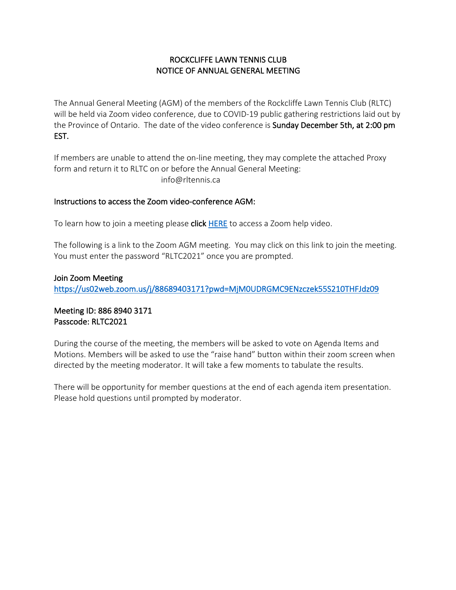# ROCKCLIFFE LAWN TENNIS CLUB NOTICE OF ANNUAL GENERAL MEETING

The Annual General Meeting (AGM) of the members of the Rockcliffe Lawn Tennis Club (RLTC) will be held via Zoom video conference, due to COVID-19 public gathering restrictions laid out by the Province of Ontario. The date of the video conference is Sunday December 5th, at 2:00 pm EST.

If members are unable to attend the on-line meeting, they may complete the attached Proxy form and return it to RLTC on or before the Annual General Meeting: info@rltennis.ca

#### Instructions to access the Zoom video-conference AGM:

To learn how to join a meeting please click HERE to access a Zoom help video.

The following is a link to the Zoom AGM meeting. You may click on this link to join the meeting. You must enter the password "RLTC2021" once you are prompted.

### Join Zoom Meeting

https://us02web.zoom.us/j/88689403171?pwd=MjM0UDRGMC9ENzczek55S210THFJdz09

Meeting ID: 886 8940 3171 Passcode: RLTC2021

During the course of the meeting, the members will be asked to vote on Agenda Items and Motions. Members will be asked to use the "raise hand" button within their zoom screen when directed by the meeting moderator. It will take a few moments to tabulate the results.

There will be opportunity for member questions at the end of each agenda item presentation. Please hold questions until prompted by moderator.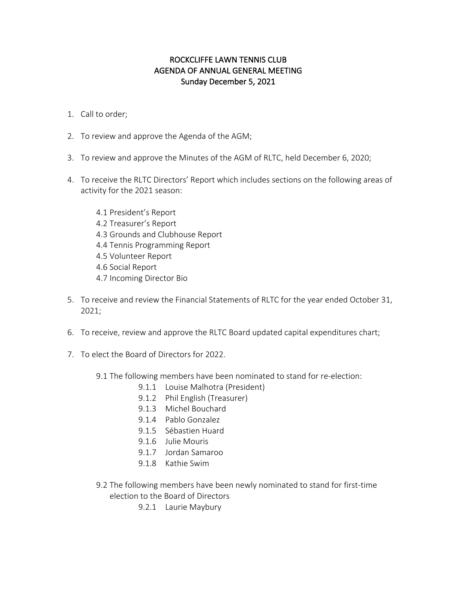# ROCKCLIFFE LAWN TENNIS CLUB AGENDA OF ANNUAL GENERAL MEETING Sunday December 5, 2021

- 1. Call to order;
- 2. To review and approve the Agenda of the AGM;
- 3. To review and approve the Minutes of the AGM of RLTC, held December 6, 2020;
- 4. To receive the RLTC Directors' Report which includes sections on the following areas of activity for the 2021 season:
	- 4.1 President's Report 4.2 Treasurer's Report 4.3 Grounds and Clubhouse Report 4.4 Tennis Programming Report 4.5 Volunteer Report 4.6 Social Report
	- 4.7 Incoming Director Bio
- 5. To receive and review the Financial Statements of RLTC for the year ended October 31, 2021;
- 6. To receive, review and approve the RLTC Board updated capital expenditures chart;
- 7. To elect the Board of Directors for 2022.
	- 9.1 The following members have been nominated to stand for re-election:
		- 9.1.1 Louise Malhotra (President)
		- 9.1.2 Phil English (Treasurer)
		- 9.1.3 Michel Bouchard
		- 9.1.4 Pablo Gonzalez
		- 9.1.5 Sébastien Huard
		- 9.1.6 Julie Mouris
		- 9.1.7 Jordan Samaroo
		- 9.1.8 Kathie Swim
	- 9.2 The following members have been newly nominated to stand for first-time election to the Board of Directors
		- 9.2.1 Laurie Maybury